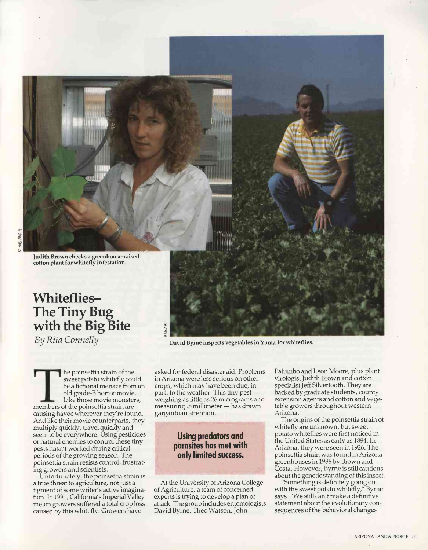Judith Brown checks a greenhouse-raised cotton plant for whitefly infestation.

## Whiteflies-The Tiny Bug with the Big Bite

By Rita Connelly

he poinsettia strain of the sweet potato whitefly could be a fictional menace from an old grade -B horror movie. Like those movie monsters, members of the poinsettia strain are causing havoc wherever they're found. And like their movie counterparts, they multiply quickly, travel quickly and seem to be everywhere. Using pesticides or natural enemies to control these tiny pests hasn't worked during critical periods of the growing season. The poinsettia strain resists control, frustrating growers and scientists.

Unfortunately, the poinsettia strain is a true threat to agriculture, not just a figment of some writer's active imagination. In 1991, California's Imperial Valley melon growers suffered a total crop loss caused by this whitefly. Growers have

David Byrne inspects vegetables in Yuma for whiteflies.

asked for federal disaster aid. Problems in Arizona were less serious on other crops, which may have been due, in part, to the weather. This tiny pest weighing as little as 26 micrograms and measuring .8 millimeter - has drawn gargantuan attention.

## Using predators and parasites has met with only limited success.

At the University of Arizona College of Agriculture, a team of concerned experts is trying to develop a plan of attack. The group includes entomologists David Byrne, Theo Watson, John

Palumbo and Leon Moore, plus plant virologist Judith Brown and cotton specialist Jeff Silvertooth. They are backed by graduate students, county extension agents and cotton and vegetable growers throughout western Arizona.

The origins of the poinsettia strain of whitefly are unknown, but sweet potato whiteflies were first noticed in the United States as early as 1894. In Arizona, they were seen in 1926. The poinsettia strain was found in Arizona greenhouses in 1988 by Brown and Costa. However, Byrne is still caútious about the genetic standing of this insect.

"Something is definitely going on with the sweet potato whitefly," Byrne says. "We still can't make a definitive statement about the evolutionary consequences of the behavioral changes